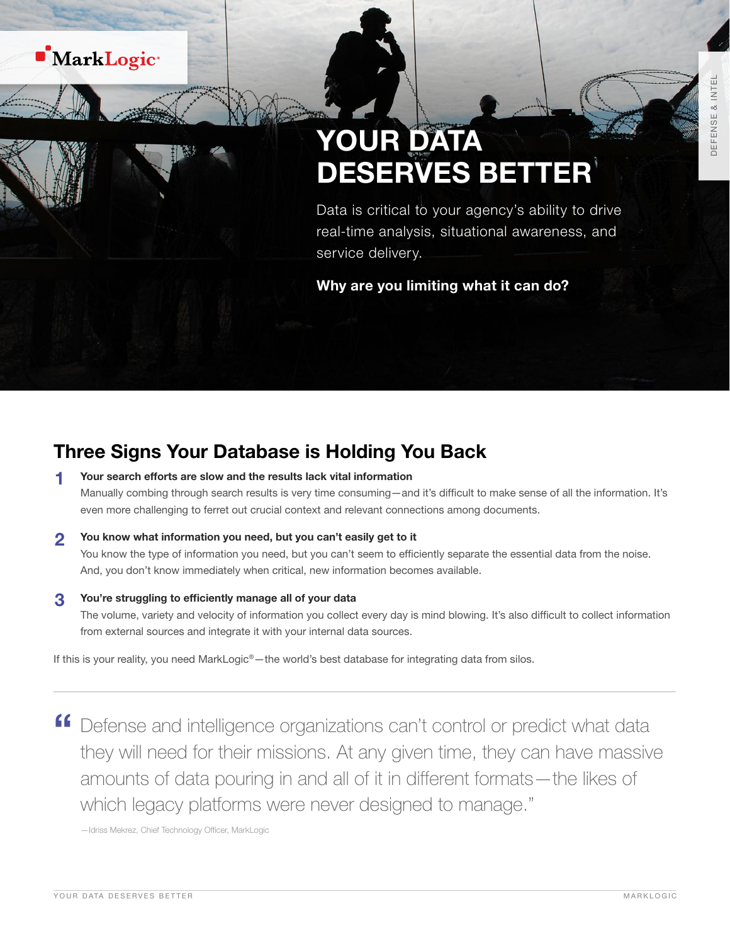## **MarkLogic**<sup>®</sup>

1 <sup>t</sup>

# YOUR DATA DESERVES BETTER

Data is critical to your agency's ability to drive real-time analysis, situational awareness, and service delivery.

Why are you limiting what it can do?

### Three Signs Your Database is Holding You Back

- 1 Your search efforts are slow and the results lack vital information Manually combing through search results is very time consuming—and it's difficult to make sense of all the information. It's even more challenging to ferret out crucial context and relevant connections among documents.
- 2 You know what information you need, but you can't easily get to it You know the type of information you need, but you can't seem to efficiently separate the essential data from the noise. And, you don't know immediately when critical, new information becomes available.
- 3 You're struggling to efficiently manage all of your data

The volume, variety and velocity of information you collect every day is mind blowing. It's also difficult to collect information from external sources and integrate it with your internal data sources.

If this is your reality, you need MarkLogic<sup>®</sup>—the world's best database for integrating data from silos.

" Defense and intelligence organizations can't control or predict what data they will need for their missions. At any given time, they can have massive amounts of data pouring in and all of it in different formats—the likes of which legacy platforms were never designed to manage."

—Idriss Mekrez, Chief Technology Officer, MarkLogic